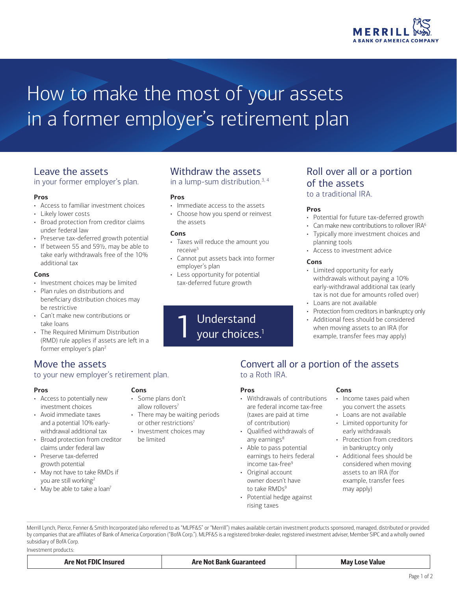

## How to make the most of your assets in a former employer's retirement plan

### Leave the assets

in your former employer's plan.

### **Pros**

- Access to familiar investment choices
- Likely lower costs
- Broad protection from creditor claims under federal law
- Preserve tax-deferred growth potential
- If between 55 and 59½, may be able to take early withdrawals free of the 10% additional tax

#### **Cons**

- Investment choices may be limited
- Plan rules on distributions and beneficiary distribution choices may be restrictive
- Can't make new contributions or take loans
- The Required Minimum Distribution (RMD) rule applies if assets are left in a former employer's plan2

### Move the assets

### to your new employer's retirement plan.

**Cons**

• Some plans don't allow rollovers<sup>7</sup>

be limited

• There may be waiting periods or other restrictions<sup>7</sup> • Investment choices may

### **Pros**

- Access to potentially new investment choices
- Avoid immediate taxes and a potential 10% earlywithdrawal additional tax
- Broad protection from creditor claims under federal law
- Preserve tax-deferred growth potential
- May not have to take RMDs if you are still working2
- May be able to take a loan<sup>7</sup>

### Withdraw the assets

in a lump-sum distribution. $3, 4$ 

### **Pros**

- Immediate access to the assets
- Choose how you spend or reinvest the assets

### **Cons**

- Taxes will reduce the amount you receive<sup>5</sup>
- Cannot put assets back into former employer's plan
- Less opportunity for potential tax-deferred future growth

# Understand

### Roll over all or a portion of the assets

to a traditional IRA.

### **Pros**

- Potential for future tax-deferred growth
- Can make new contributions to rollover IRA<sup>6</sup>
- Typically more investment choices and planning tools
- Access to investment advice

### **Cons**

- Limited opportunity for early withdrawals without paying a 10% early-withdrawal additional tax (early tax is not due for amounts rolled over)
- Loans are not available
- Protection from creditors in bankruptcy only
- Additional fees should be considered when moving assets to an IRA (for example, transfer fees may apply)

### Convert all or a portion of the assets to a Roth IRA.

### **Pros**

- Withdrawals of contributions are federal income tax-free (taxes are paid at time of contribution)
- Qualified withdrawals of any earnings $8$
- Able to pass potential earnings to heirs federal income tax-free<sup>9</sup>
- Original account owner doesn't have to take RMDs<sup>9</sup>
- Potential hedge against rising taxes

### **Cons**

- Income taxes paid when you convert the assets
- Loans are not available
- Limited opportunity for early withdrawals
- Protection from creditors in bankruptcy only
- Additional fees should be considered when moving assets to an IRA (for example, transfer fees may apply)

Merrill Lynch, Pierce, Fenner & Smith Incorporated (also referred to as "MLPF&S" or "Merrill") makes available certain investment products sponsored, managed, distributed or provided by companies that are affiliates of Bank of America Corporation ("BofA Corp."). MLPF&S is a registered broker-dealer, registered investment adviser, [Member](http://www.sipc.org) [SIPC](http://www.sipc.org ) and a wholly owned subsidiary of BofA Corp.

Investment products:

Are Not FDIC Insured **Are Not Bank Guaranteed** Are Not Bank Guaranteed May Lose Value

your choices.<sup>1</sup>